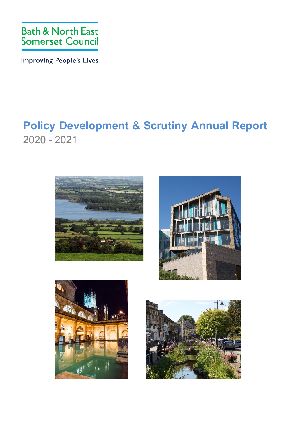

**Improving People's Lives** 

## **Policy Development & Scrutiny Annual Report**  2020 - 2021







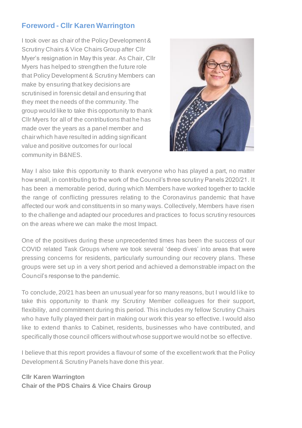## **Foreword - Cllr Karen Warrington**

I took over as chair of the Policy Development & Scrutiny Chairs & Vice Chairs Group after Cllr Myer's resignation in May this year. As Chair, Cllr Myers has helped to strengthen the future role that Policy Development & Scrutiny Members can make by ensuring that key decisions are scrutinised in forensic detail and ensuring that they meet the needs of the community. The group would like to take this opportunity to thank Cllr Myers for all of the contributions that he has made over the years as a panel member and chair which have resulted in adding significant value and positive outcomes for our local community in B&NES.



May I also take this opportunity to thank everyone who has played a part, no matter how small, in contributing to the work of the Council's three scrutiny Panels 2020/21. It has been a memorable period, during which Members have worked together to tackle the range of conflicting pressures relating to the Coronavirus pandemic that have affected our work and constituents in so many ways. Collectively, Members have risen to the challenge and adapted our procedures and practices to focus scrutiny resources on the areas where we can make the most Impact.

One of the positives during these unprecedented times has been the success of our COVID related Task Groups where we took several 'deep dives' into areas that were pressing concerns for residents, particularly surrounding our recovery plans. These groups were set up in a very short period and achieved a demonstrable impact on the Council's response to the pandemic.

To conclude, 20/21 has been an unusual year for so many reasons, but I would like to take this opportunity to thank my Scrutiny Member colleagues for their support, flexibility, and commitment during this period. This includes my fellow Scrutiny Chairs who have fully played their part in making our work this year so effective. I would also like to extend thanks to Cabinet, residents, businesses who have contributed, and specifically those council officers without whose support we would not be so effective.

I believe that this report provides a flavour of some of the excellent work that the Policy Development & Scrutiny Panels have done this year.

**Cllr Karen Warrington Chair of the PDS Chairs & Vice Chairs Group**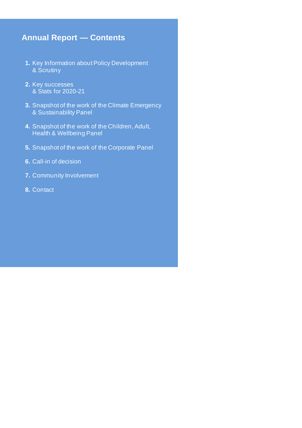## **Annual Report — Contents**

- **1.** Key Information about Policy Development & Scrutiny
- **2.** Key successes & Stats for 2020-21
- **3.** Snapshot of the work of the Climate Emergency & Sustainability Panel
- **4.** Snapshot of the work of the Children, Adult, Health & Wellbeing Panel
- **5.** Snapshot of the work of the Corporate Panel
- **6.** Call-in of decision
- **7.** Community Involvement
- **8.** Contact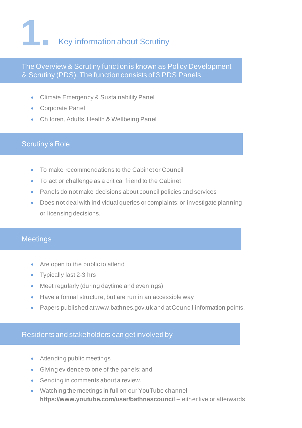

## The Overview & Scrutiny function is known as Policy Development & Scrutiny (PDS). The function consists of 3 PDS Panels

- Climate Emergency & Sustainability Panel
- Corporate Panel
- Children, Adults, Health & Wellbeing Panel

#### Scrutiny's Role

- To make recommendations to the Cabinet or Council
- To act or challenge as a critical friend to the Cabinet
- Panels do not make decisions about council policies and services
- Does not deal with individual queries or complaints; or investigate planning or licensing decisions.

### **Meetings**

- Are open to the public to attend
- Typically last 2-3 hrs
- Meet regularly (during daytime and evenings)
- Have a formal structure, but are run in an accessible way
- Papers published at www.bathnes.gov.uk and at Council information points.

#### Residents and stakeholders can get involved by

- Attending public meetings
- Giving evidence to one of the panels; and
- Sending in comments about a review.
- Watching the meetings in full on our YouTube channel **<https://www.youtube.com/user/bathnescouncil>** – either live or afterwards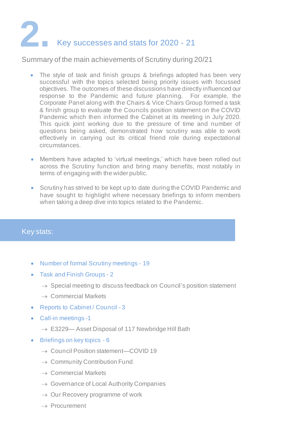## **2.**  $\overline{\phantom{a}}$ Key successes and stats for 2020 - 21

#### Summary of the main achievements of Scrutiny during 20/21

- The style of task and finish groups & briefings adopted has been very successful with the topics selected being priority issues with focussed objectives. The outcomes of these discussions have directly influenced our response to the Pandemic and future planning. For example, the Corporate Panel along with the Chairs & Vice Chairs Group formed a task & finish group to evaluate the Councils position statement on the COVID Pandemic which then informed the Cabinet at its meeting in July 2020. This quick joint working due to the pressure of time and number of questions being asked, demonstrated how scrutiny was able to work effectively in carrying out its critical friend role during expectational circumstances.
- Members have adapted to 'virtual meetings,' which have been rolled out across the Scrutiny function and bring many benefits, most notably in terms of engaging with the wider public.
- Scrutiny has strived to be kept up to date during the COVID Pandemic and have sought to highlight where necessary briefings to inform members when taking a deep dive into topics related to the Pandemic.

## Key stats:

- Number of formal Scrutiny meetings 19
- Task and Finish Groups 2
	- $\rightarrow$  Special meeting to discuss feedback on Council's position statement
	- $\rightarrow$  Commercial Markets
- Reports to Cabinet / Council 3
- Call-in meetings -1
	- $\rightarrow$  E3229- Asset Disposal of 117 Newbridge Hill Bath
- Briefings on key topics 6
	- → Council Position statement—COVID 19
	- $\rightarrow$  Community Contribution Fund
	- $\rightarrow$  Commercial Markets
	- $\rightarrow$  Governance of Local Authority Companies
	- $\rightarrow$  Our Recovery programme of work
	- $\rightarrow$  Procurement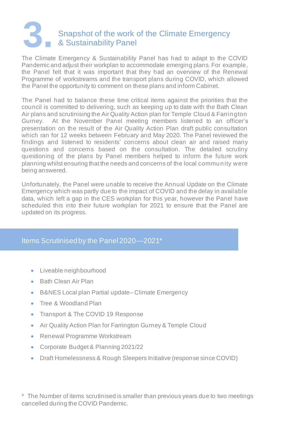## **3.** Snapshot of the work of the Climate Emergency & Sustainability Panel

The Climate Emergency & Sustainability Panel has had to adapt to the COVID Pandemic and adjust their workplan to accommodate emerging plans. For example, the Panel felt that it was important that they had an overview of the Renewal Programme of workstreams and the transport plans during COVID, which allowed the Panel the opportunity to comment on these plans and inform Cabinet.

The Panel had to balance these time critical items against the priorities that the council is committed to delivering, such as keeping up to date with the Bath Clean Air plans and scrutinising the Air Quality Action plan for Temple Cloud & Farrington Gurney. At the November Panel meeting members listened to an officer's presentation on the result of the Air Quality Action Plan draft public consultation which ran for 12 weeks between February and May 2020. The Panel reviewed the findings and listened to residents' concerns about clean air and raised many questions and concerns based on the consultation. The detailed scrutiny questioning of the plans by Panel members helped to inform the future work planning whilst ensuring that the needs and concerns of the local community were being answered.

Unfortunately, the Panel were unable to receive the Annual Update on the Climate Emergency which was partly due to the impact of COVID and the delay in available data, which left a gap in the CES workplan for this year, however the Panel have scheduled this into their future workplan for 2021 to ensure that the Panel are updated on its progress.

### Items Scrutinised by the Panel 2020—2021\*

- Liveable neighbourhood
- Bath Clean Air Plan
- B&NES Local plan Partial update– Climate Emergency
- Tree & Woodland Plan
- Transport & The COVID 19 Response
- Air Quality Action Plan for Farrington Gurney & Temple Cloud
- Renewal Programme Workstream
- Corporate Budget & Planning 2021/22
- Draft Homelessness & Rough Sleepers Initiative (response since COVID)

\* The Number of items scrutinised is smaller than previous years due to two meetings cancelled during the COVID Pandemic.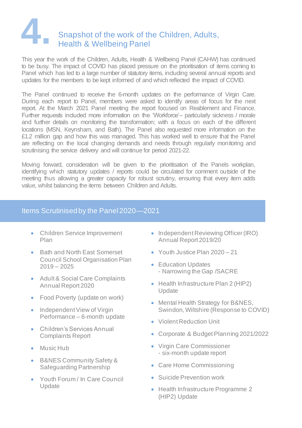## **4.** Snapshot of the work of the Children, Adults, Health & Wellbeing Panel

This year the work of the Children, Adults, Health & Wellbeing Panel (CAHW) has continued to be busy. The impact of COVID has placed pressure on the prioritisation of items coming to Panel which has led to a large number of statutory items, including several annual reports and updates for the members to be kept informed of and which reflected the impact of COVID.

The Panel continued to receive the 6-month updates on the performance of Virgin Care. During each report to Panel, members were asked to identify areas of focus for the next report. At the March 2021 Panel meeting the report focused on Reablement and Finance. Further requests included more information on the 'Workforce'– particularly sickness / morale and further details on monitoring the transformation; with a focus on each of the different locations (MSN, Keynsham, and Bath). The Panel also requested more information on the £1.2 million gap and how this was managed. This has worked well to ensure that the Panel are reflecting on the local changing demands and needs through regularly monitoring and scrutinising the service delivery and will continue for period 2021-22.

Moving forward, consideration will be given to the prioritisation of the Panels workplan, identifying which statutory updates / reports could be circulated for comment outside of the meeting thus allowing a greater capacity for robust scrutiny, ensuring that every item adds value, whilst balancing the items between Children and Adults.

## Items Scrutinised by the Panel 2020—2021

- Children Service Improvement Plan
- Bath and North East Somerset Council School Organisation Plan  $2019 - 2025$
- Adult & Social Care Complaints Annual Report 2020
- Food Poverty (update on work)
- Independent View of Virgin Performance – 6-month update
- Children's Services Annual Complaints Report
- Music Hub
- B&NES Community Safety & Safeguarding Partnership
- Youth Forum / In Care Council Update
- Independent Reviewing Officer (IRO) Annual Report 2019/20
- Youth Justice Plan 2020 21
- Education Updates - Narrowing the Gap /SACRE
- Health Infrastructure Plan 2 (HIP2) **Update**
- Mental Health Strategy for B&NES, Swindon, Wiltshire (Response to COVID)
- Violent Reduction Unit
- Corporate & Budget Planning 2021/2022
- Virgin Care Commissioner - six-month update report
- Care Home Commissioning
- Suicide Prevention work
- Health Infrastructure Programme 2 (HIP2) Update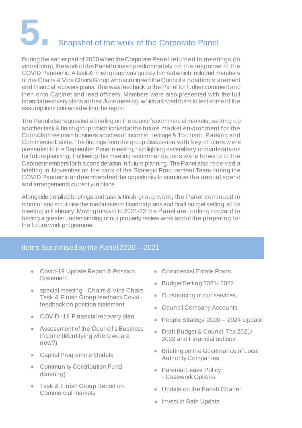# **5.** Snapshot of the work of the Corporate Panel

During the earlier part of 2020 when the Corporate Panel returned to meetings (in virtual form), the work of the Panel focused predominately on the response to the COVID Pandemic. A task & finish group was quickly formed which included members of the Chairs & Vice Chairs Group who scrutinised the Council's position statement and financial recovery plans. This was feedback to the Panel for further comment and then onto Cabinet and lead officers. Members were also presented with the full financial recovery plans at their June meeting, which allowed them to test some of the assumptions contained within the report.

The Panel also requested a briefing on the council's commercial markets, setting up another task & finish group which looked at the future market environment for the Councils three main business sources of income: Heritage & Tourism, Parking and Commercial Estate. The findings from the group discussion with key officers were presented to the September Panel meeting, highlighting several key considerations for future planning. Following this meeting recommendations were forward to the Cabinet members for his consideration in future planning. The Panel also received a briefing in November on the work of the Strategic Procurement Team during the COVID Pandemic and members had the opportunity to scrutinise the annual spend and arrangements currently in place.

Alongside detailed briefings and task & finish group work, the Panel continued to monitor and scrutinise the medium-term financial plans and draft budget setting at its meeting in February. Moving forward to 2021-22 the Panel are looking forward to having a greater understanding of our property review work and of the preparing for the future work programme.

### Items Scrutinised by the Panel 2020—2021

- Covid-19 Update Report & Position **Statement**
- special meeting Chairs & Vice Chairs Task & Finish Group feedback Covid feedback on position statement
- COVID -19 Financial recovery plan
- Assessment of the Council's Business Income (Identifying where we are now?)
- Capital Programme Update
- Community Contribution Fund (Briefing)
- Task & Finish Group Report on Commercial markets
- Commercial Estate Plans
- Budget Setting 2021/ 2022
- Outsourcing of our services
- Council Company Accounts
- People Strategy 2020 2024 Update
- Draft Budget & Council Tax 2021/ 2022 and Financial outlook
- Briefing on the Governance of Local Authority Companies
- Parental Leave Policy - Casework Options
- Update on the Parish Charter
- Invest in Bath Update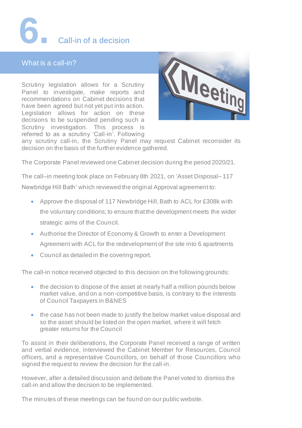## **6.** Call-in of a decision

## What is a call-in?

Scrutiny legislation allows for a Scrutiny Panel to investigate, make reports and recommendations on Cabinet decisions that have been agreed but not yet put into action. Legislation allows for action on these decisions to be suspended pending such a Scrutiny investigation. This process is referred to as a scrutiny 'Call-in'. Following



any scrutiny call-in, the Scrutiny Panel may request Cabinet reconsider its decision on the basis of the further evidence gathered.

The Corporate Panel reviewed one Cabinet decision during the period 2020/21.

The call–in meeting took place on February 8th 2021, on 'Asset Disposal– 117 Newbridge Hill Bath' which reviewed the original Approval agreement to:

- Approve the disposal of 117 Newbridge Hill, Bath to ACL for £308k with the voluntary conditions; to ensure that the development meets the wider strategic aims of the Council.
- Authorise the Director of Economy & Growth to enter a Development Agreement with ACL for the redevelopment of the site into 6 apartments
- Council as detailed in the covering report.

The call-in notice received objected to this decision on the following grounds:

- the decision to dispose of the asset at nearly half a million pounds below market value, and on a non-competitive basis, is contrary to the interests of Council Taxpayers in B&NES
- the case has not been made to justify the below market value disposal and so the asset should be listed on the open market, where it will fetch greater returns for the Council

To assist in their deliberations, the Corporate Panel received a range of written and verbal evidence, interviewed the Cabinet Member for Resources, Council officers, and a representative Councillors, on behalf of those Councillors who signed the request to review the decision for the call-in.

However, after a detailed discussion and debate the Panel voted to dismiss the call-in and allow the decision to be implemented.

The minutes of these meetings can be found on our public website.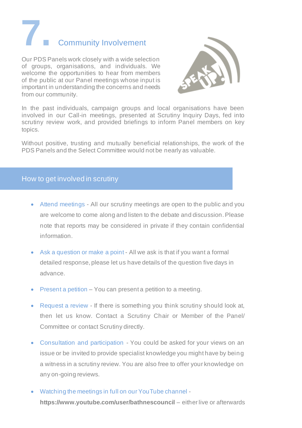**7.** Community Involvement

Our PDS Panels work closely with a wide selection of groups, organisations, and individuals. We welcome the opportunities to hear from members of the public at our Panel meetings whose input is important in understanding the concerns and needs from our community.



In the past individuals, campaign groups and local organisations have been involved in our Call-in meetings, presented at Scrutiny Inquiry Days, fed into scrutiny review work, and provided briefings to inform Panel members on key topics.

Without positive, trusting and mutually beneficial relationships, the work of the PDS Panels and the Select Committee would not be nearly as valuable.

## How to get involved in scrutiny

- Attend meetings All our scrutiny meetings are open to the public and you are welcome to come along and listen to the debate and discussion. Please note that reports may be considered in private if they contain confidential information.
- Ask a question or make a point All we ask is that if you want a formal detailed response, please let us have details of the question five days in advance.
- Present a petition You can present a petition to a meeting.
- Request a review If there is something you think scrutiny should look at, then let us know. Contact a Scrutiny Chair or Member of the Panel/ Committee or contact Scrutiny directly.
- Consultation and participation You could be asked for your views on an issue or be invited to provide specialist knowledge you might have by being a witness in a scrutiny review. You are also free to offer your knowledge on any on-going reviews.
- Watching the meetings in full on our YouTube channel **<https://www.youtube.com/user/bathnescouncil>** – either live or afterwards